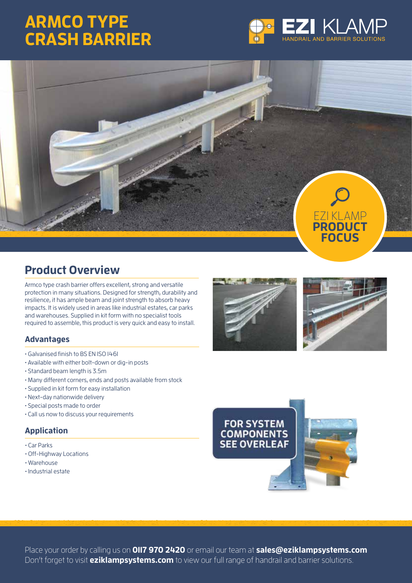## **ARMCO TYPE CRASH BARRIER**





### **Product Overview**

Armco type crash barrier offers excellent, strong and versatile protection in many situations. Designed for strength, durability and resilience, it has ample beam and joint strength to absorb heavy impacts. It is widely used in areas like industrial estates, car parks and warehouses. Supplied in kit form with no specialist tools required to assemble, this product is very quick and easy to install.

#### **Advantages**

- Galvanised finish to BS EN ISO 1461
- Available with either bolt-down or dig-in posts
- Standard beam length is 3.5m
- Many different corners, ends and posts available from stock
- Supplied in kit form for easy installation
- Next-day nationwide delivery
- Special posts made to order
- Call us now to discuss your requirements

#### **Application**

- Car Parks
- Off-Highway Locations
- Warehouse
- Industrial estate







Place your order by calling us on **0117 970 2420** or email our team at **sales@eziklampsystems.com** Don't forget to visit **eziklampsystems.com** to view our full range of handrail and barrier solutions.